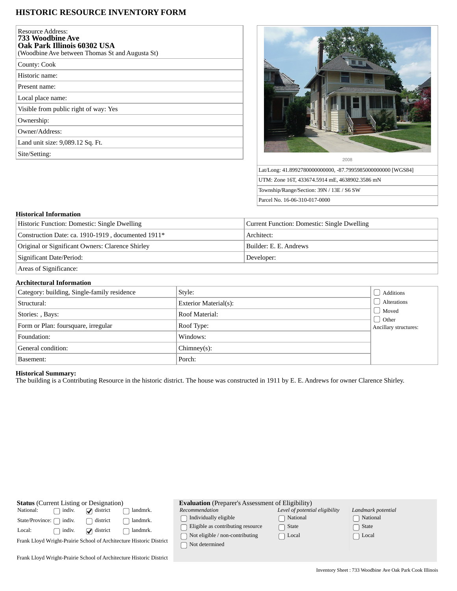## **HISTORIC RESOURCE INVENTORY FORM**

| <b>Resource Address:</b><br>733 Woodbine Ave<br>Oak Park Illinois 60302 USA<br>(Woodbine Ave between Thomas St and Augusta St) |
|--------------------------------------------------------------------------------------------------------------------------------|
| County: Cook                                                                                                                   |
| Historic name:                                                                                                                 |
| Present name:                                                                                                                  |
| Local place name:                                                                                                              |
| Visible from public right of way: Yes                                                                                          |
| Ownership:                                                                                                                     |
| Owner/Address:                                                                                                                 |
| Land unit size: 9,089.12 Sq. Ft.                                                                                               |
| Site/Setting:                                                                                                                  |



Lat/Long: 41.8992780000000000, -87.7995985000000000 [WGS84] UTM: Zone 16T, 433674.5914 mE, 4638902.3586 mN Township/Range/Section: 39N / 13E / S6 SW Parcel No. 16-06-310-017-0000

## **Historical Information**

| Historic Function: Domestic: Single Dwelling       | Current Function: Domestic: Single Dwelling |  |
|----------------------------------------------------|---------------------------------------------|--|
| Construction Date: ca. 1910-1919, documented 1911* | Architect:                                  |  |
| Original or Significant Owners: Clarence Shirley   | Builder: E. E. Andrews                      |  |
| Significant Date/Period:                           | Developer:                                  |  |
| Areas of Significance:                             |                                             |  |

## **Architectural Information**

| Category: building, Single-family residence | Style:                | Additions                             |
|---------------------------------------------|-----------------------|---------------------------------------|
| Structural:                                 | Exterior Material(s): | Alterations                           |
| Stories: , Bays:                            | Roof Material:        | Moved                                 |
| Form or Plan: foursquare, irregular         | Roof Type:            | $\Box$ Other<br>Ancillary structures: |
| Foundation:                                 | Windows:              |                                       |
| General condition:                          | $Chimney(s)$ :        |                                       |
| Basement:                                   | Porch:                |                                       |

## **Historical Summary:**

The building is a Contributing Resource in the historic district. The house was constructed in 1911 by E. E. Andrews for owner Clarence Shirley.

| <b>Status</b> (Current Listing or Designation)                      |                 | <b>Evaluation</b> (Preparer's Assessment of Eligibility) |                                                            |                                |                    |
|---------------------------------------------------------------------|-----------------|----------------------------------------------------------|------------------------------------------------------------|--------------------------------|--------------------|
| National:<br>indiv.                                                 | $\Box$ district | landmrk.                                                 | Recommendation                                             | Level of potential eligibility | Landmark potential |
| indiv.<br>State/Province: [                                         | district        | landmrk.                                                 | Individually eligible<br>Eligible as contributing resource | National<br>State              | National<br>State  |
| Local:<br>indiv.                                                    | $\Box$ district | landmrk.                                                 | Not eligible / non-contributing                            | $\sqcap$ Local                 | Local              |
| Frank Lloyd Wright-Prairie School of Architecture Historic District |                 | Not determined                                           |                                                            |                                |                    |
| Frank Lloyd Wright-Prairie School of Architecture Historic District |                 |                                                          |                                                            |                                |                    |